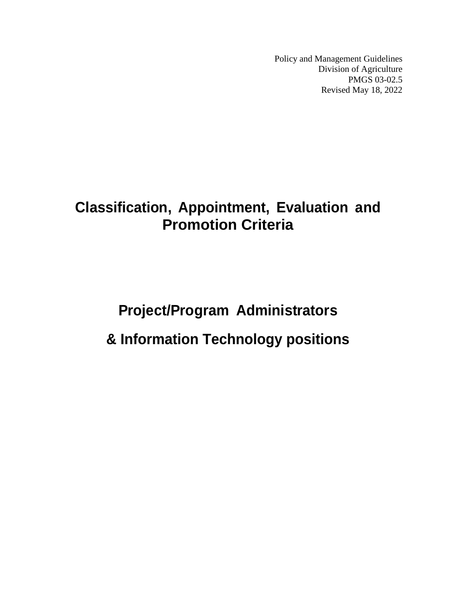Policy and Management Guidelines Division of Agriculture PMGS 03-02.5 Revised May 18, 2022

# **Classification, Appointment, Evaluation and Promotion Criteria**

# **Project/Program Administrators & Information Technology positions**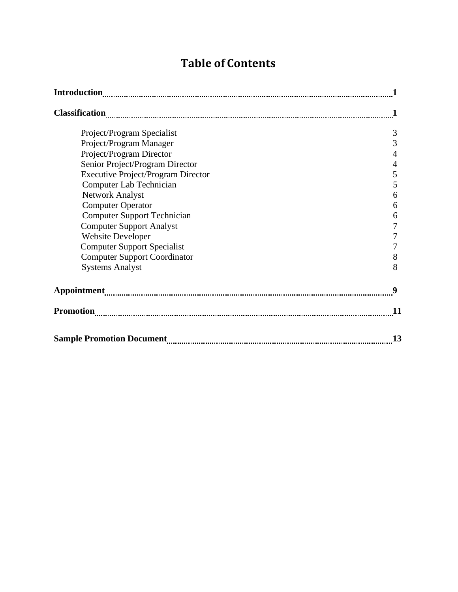# **Table of Contents**

| Project/Program Specialist                | 3         |
|-------------------------------------------|-----------|
| Project/Program Manager                   | 3         |
| Project/Program Director                  | 4         |
| Senior Project/Program Director           | 4         |
| <b>Executive Project/Program Director</b> | 5         |
| <b>Computer Lab Technician</b>            | 5         |
| <b>Network Analyst</b>                    | 6         |
| <b>Computer Operator</b>                  | 6         |
| <b>Computer Support Technician</b>        | 6         |
| <b>Computer Support Analyst</b>           |           |
| <b>Website Developer</b>                  |           |
| <b>Computer Support Specialist</b>        |           |
| <b>Computer Support Coordinator</b>       | 8         |
| <b>Systems Analyst</b>                    | 8         |
|                                           | 9         |
|                                           | <b>11</b> |
|                                           | 13        |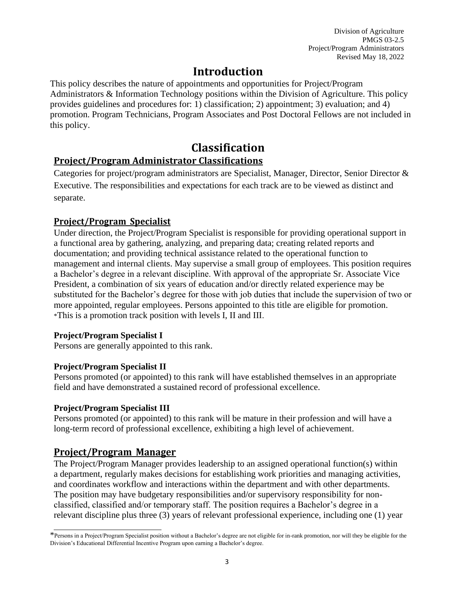# **Introduction**

This policy describes the nature of appointments and opportunities for Project/Program Administrators & Information Technology positions within the Division of Agriculture. This policy provides guidelines and procedures for: 1) classification; 2) appointment; 3) evaluation; and 4) promotion. Program Technicians, Program Associates and Post Doctoral Fellows are not included in this policy.

# **Classification**

# **Project/Program Administrator Classifications**

Categories for project/program administrators are Specialist, Manager, Director, Senior Director & Executive. The responsibilities and expectations for each track are to be viewed as distinct and separate.

# **Project/Program Specialist**

Under direction, the Project/Program Specialist is responsible for providing operational support in a functional area by gathering, analyzing, and preparing data; creating related reports and documentation; and providing technical assistance related to the operational function to management and internal clients. May supervise a small group of employees. This position requires a Bachelor's degree in a relevant discipline. With approval of the appropriate Sr. Associate Vice President, a combination of six years of education and/or directly related experience may be substituted for the Bachelor's degree for those with job duties that include the supervision of two or more appointed, regular employees. Persons appointed to this title are eligible for promotion. \*This is a promotion track position with levels I, II and III.

### **Project/Program Specialist I**

Persons are generally appointed to this rank.

### **Project/Program Specialist II**

Persons promoted (or appointed) to this rank will have established themselves in an appropriate field and have demonstrated a sustained record of professional excellence.

### **Project/Program Specialist III**

Persons promoted (or appointed) to this rank will be mature in their profession and will have a long-term record of professional excellence, exhibiting a high level of achievement.

# **Project/Program Manager**

The Project/Program Manager provides leadership to an assigned operational function(s) within a department, regularly makes decisions for establishing work priorities and managing activities, and coordinates workflow and interactions within the department and with other departments. The position may have budgetary responsibilities and/or supervisory responsibility for nonclassified, classified and/or temporary staff. The position requires a Bachelor's degree in a relevant discipline plus three (3) years of relevant professional experience, including one (1) year

<sup>\*</sup>Persons in a Project/Program Specialist position without a Bachelor's degree are not eligible for in-rank promotion, nor will they be eligible for the Division's Educational Differential Incentive Program upon earning a Bachelor's degree.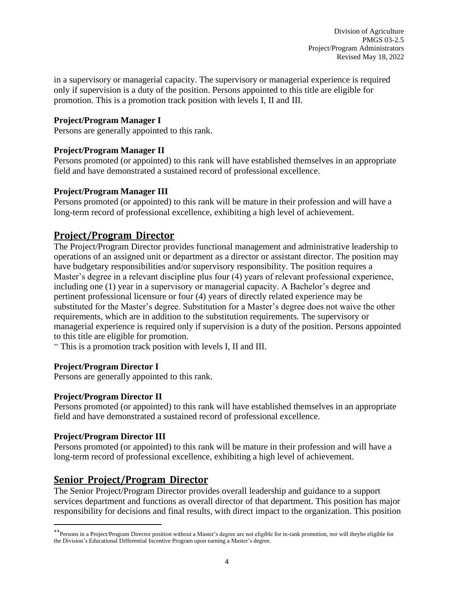in a supervisory or managerial capacity. The supervisory or managerial experience is required only if supervision is a duty of the position. Persons appointed to this title are eligible for promotion. This is a promotion track position with levels I, II and III.

#### **Project/Program Manager I**

Persons are generally appointed to this rank.

#### **Project/Program Manager II**

Persons promoted (or appointed) to this rank will have established themselves in an appropriate field and have demonstrated a sustained record of professional excellence.

#### **Project/Program Manager III**

Persons promoted (or appointed) to this rank will be mature in their profession and will have a long-term record of professional excellence, exhibiting a high level of achievement.

# **Project/Program Director**

The Project/Program Director provides functional management and administrative leadership to operations of an assigned unit or department as a director or assistant director. The position may have budgetary responsibilities and/or supervisory responsibility. The position requires a Master's degree in a relevant discipline plus four (4) years of relevant professional experience, including one (1) year in a supervisory or managerial capacity. A Bachelor's degree and pertinent professional licensure or four (4) years of directly related experience may be substituted for the Master's degree. Substitution for a Master's degree does not waive the other requirements, which are in addition to the substitution requirements. The supervisory or managerial experience is required only if supervision is a duty of the position. Persons appointed to this title are eligible for promotion.

\*\* This is a promotion track position with levels I, II and III.

#### **Project/Program Director I**

Persons are generally appointed to this rank.

#### **Project/Program Director II**

Persons promoted (or appointed) to this rank will have established themselves in an appropriate field and have demonstrated a sustained record of professional excellence.

#### **Project/Program Director III**

Persons promoted (or appointed) to this rank will be mature in their profession and will have a long-term record of professional excellence, exhibiting a high level of achievement.

# **Senior Project/Program Director**

The Senior Project/Program Director provides overall leadership and guidance to a support services department and functions as overall director of that department. This position has major responsibility for decisions and final results, with direct impact to the organization. This position

<sup>\*\*</sup>Persons in a Project/Program Director position without a Master's degree are not eligible for in-rank promotion, nor will theybe eligible for the Division's Educational Differential Incentive Program upon earning a Master's degree.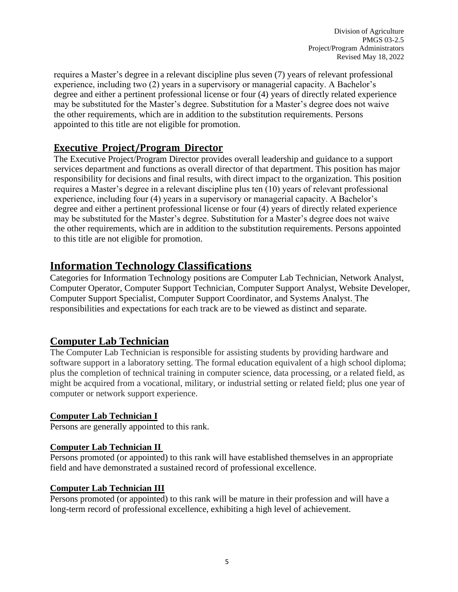requires a Master's degree in a relevant discipline plus seven (7) years of relevant professional experience, including two (2) years in a supervisory or managerial capacity. A Bachelor's degree and either a pertinent professional license or four (4) years of directly related experience may be substituted for the Master's degree. Substitution for a Master's degree does not waive the other requirements, which are in addition to the substitution requirements. Persons appointed to this title are not eligible for promotion.

# **Executive Project/Program Director**

The Executive Project/Program Director provides overall leadership and guidance to a support services department and functions as overall director of that department. This position has major responsibility for decisions and final results, with direct impact to the organization. This position requires a Master's degree in a relevant discipline plus ten (10) years of relevant professional experience, including four (4) years in a supervisory or managerial capacity. A Bachelor's degree and either a pertinent professional license or four (4) years of directly related experience may be substituted for the Master's degree. Substitution for a Master's degree does not waive the other requirements, which are in addition to the substitution requirements. Persons appointed to this title are not eligible for promotion.

# **Information Technology Classifications**

Categories for Information Technology positions are Computer Lab Technician, Network Analyst, Computer Operator, Computer Support Technician, Computer Support Analyst, Website Developer, Computer Support Specialist, Computer Support Coordinator, and Systems Analyst. The responsibilities and expectations for each track are to be viewed as distinct and separate.

# **Computer Lab Technician**

The Computer Lab Technician is responsible for assisting students by providing hardware and software support in a laboratory setting. The formal education equivalent of a high school diploma; plus the completion of technical training in computer science, data processing, or a related field, as might be acquired from a vocational, military, or industrial setting or related field; plus one year of computer or network support experience.

### **Computer Lab Technician I**

Persons are generally appointed to this rank.

### **Computer Lab Technician II**

Persons promoted (or appointed) to this rank will have established themselves in an appropriate field and have demonstrated a sustained record of professional excellence.

### **Computer Lab Technician III**

Persons promoted (or appointed) to this rank will be mature in their profession and will have a long-term record of professional excellence, exhibiting a high level of achievement.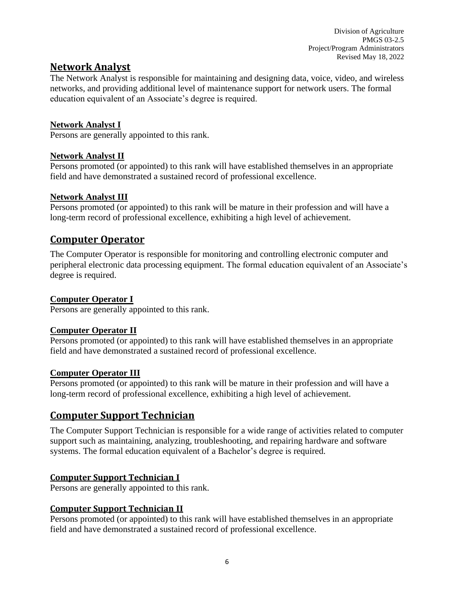# **Network Analyst**

The Network Analyst is responsible for maintaining and designing data, voice, video, and wireless networks, and providing additional level of maintenance support for network users. The formal education equivalent of an Associate's degree is required.

#### **Network Analyst I**

Persons are generally appointed to this rank.

#### **Network Analyst II**

Persons promoted (or appointed) to this rank will have established themselves in an appropriate field and have demonstrated a sustained record of professional excellence.

#### **Network Analyst III**

Persons promoted (or appointed) to this rank will be mature in their profession and will have a long-term record of professional excellence, exhibiting a high level of achievement.

# **Computer Operator**

The Computer Operator is responsible for monitoring and controlling electronic computer and peripheral electronic data processing equipment. The formal education equivalent of an Associate's degree is required.

#### **Computer Operator I**

Persons are generally appointed to this rank.

#### **Computer Operator II**

Persons promoted (or appointed) to this rank will have established themselves in an appropriate field and have demonstrated a sustained record of professional excellence.

#### **Computer Operator III**

Persons promoted (or appointed) to this rank will be mature in their profession and will have a long-term record of professional excellence, exhibiting a high level of achievement.

# **Computer Support Technician**

The Computer Support Technician is responsible for a wide range of activities related to computer support such as maintaining, analyzing, troubleshooting, and repairing hardware and software systems. The formal education equivalent of a Bachelor's degree is required.

### **Computer Support Technician I**

Persons are generally appointed to this rank.

### **Computer Support Technician II**

Persons promoted (or appointed) to this rank will have established themselves in an appropriate field and have demonstrated a sustained record of professional excellence.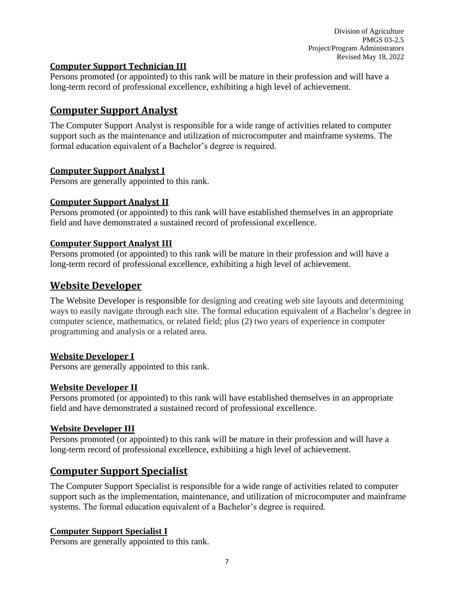#### **Computer Support Technician III**

Persons promoted (or appointed) to this rank will be mature in their profession and will have a long-term record of professional excellence, exhibiting a high level of achievement.

# **Computer Support Analyst**

The Computer Support Analyst is responsible for a wide range of activities related to computer support such as the maintenance and utilization of microcomputer and mainframe systems. The formal education equivalent of a Bachelor's degree is required.

#### **Computer Support Analyst I**

Persons are generally appointed to this rank.

#### **Computer Support Analyst II**

Persons promoted (or appointed) to this rank will have established themselves in an appropriate field and have demonstrated a sustained record of professional excellence.

#### **Computer Support Analyst III**

Persons promoted (or appointed) to this rank will be mature in their profession and will have a long-term record of professional excellence, exhibiting a high level of achievement.

# **Website Developer**

The Website Developer is responsible for designing and creating web site layouts and determining ways to easily navigate through each site. The formal education equivalent of a Bachelor's degree in computer science, mathematics, or related field; plus (2) two years of experience in computer programming and analysis or a related area.

#### **Website Developer I**

Persons are generally appointed to this rank.

#### **Website Developer II**

Persons promoted (or appointed) to this rank will have established themselves in an appropriate field and have demonstrated a sustained record of professional excellence.

#### **Website Developer III**

Persons promoted (or appointed) to this rank will be mature in their profession and will have a long-term record of professional excellence, exhibiting a high level of achievement.

# **Computer Support Specialist**

The Computer Support Specialist is responsible for a wide range of activities related to computer support such as the implementation, maintenance, and utilization of microcomputer and mainframe systems. The formal education equivalent of a Bachelor's degree is required.

#### **Computer Support Specialist I**

Persons are generally appointed to this rank.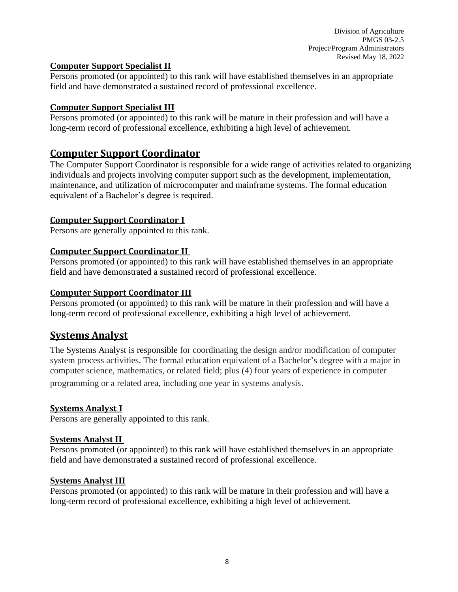#### **Computer Support Specialist II**

Persons promoted (or appointed) to this rank will have established themselves in an appropriate field and have demonstrated a sustained record of professional excellence.

#### **Computer Support Specialist III**

Persons promoted (or appointed) to this rank will be mature in their profession and will have a long-term record of professional excellence, exhibiting a high level of achievement.

# **Computer Support Coordinator**

The Computer Support Coordinator is responsible for a wide range of activities related to organizing individuals and projects involving computer support such as the development, implementation, maintenance, and utilization of microcomputer and mainframe systems. The formal education equivalent of a Bachelor's degree is required.

### **Computer Support Coordinator I**

Persons are generally appointed to this rank.

#### **Computer Support Coordinator II**

Persons promoted (or appointed) to this rank will have established themselves in an appropriate field and have demonstrated a sustained record of professional excellence.

#### **Computer Support Coordinator III**

Persons promoted (or appointed) to this rank will be mature in their profession and will have a long-term record of professional excellence, exhibiting a high level of achievement.

# **Systems Analyst**

The Systems Analyst is responsible for coordinating the design and/or modification of computer system process activities. The formal education equivalent of a Bachelor's degree with a major in computer science, mathematics, or related field; plus (4) four years of experience in computer programming or a related area, including one year in systems analysis.

#### **Systems Analyst I**

Persons are generally appointed to this rank.

#### **Systems Analyst II**

Persons promoted (or appointed) to this rank will have established themselves in an appropriate field and have demonstrated a sustained record of professional excellence.

#### **Systems Analyst III**

Persons promoted (or appointed) to this rank will be mature in their profession and will have a long-term record of professional excellence, exhibiting a high level of achievement.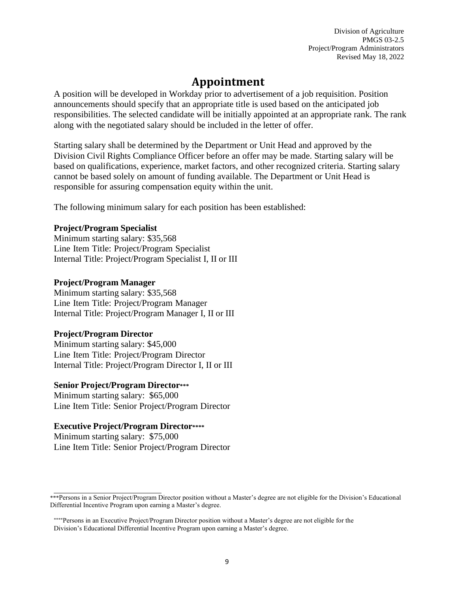# **Appointment**

A position will be developed in Workday prior to advertisement of a job requisition. Position announcements should specify that an appropriate title is used based on the anticipated job responsibilities. The selected candidate will be initially appointed at an appropriate rank. The rank along with the negotiated salary should be included in the letter of offer.

Starting salary shall be determined by the Department or Unit Head and approved by the Division Civil Rights Compliance Officer before an offer may be made. Starting salary will be based on qualifications, experience, market factors, and other recognized criteria. Starting salary cannot be based solely on amount of funding available. The Department or Unit Head is responsible for assuring compensation equity within the unit.

The following minimum salary for each position has been established:

#### **Project/Program Specialist**

Minimum starting salary: \$35,568 Line Item Title: Project/Program Specialist Internal Title: Project/Program Specialist I, II or III

#### **Project/Program Manager**

Minimum starting salary: \$35,568 Line Item Title: Project/Program Manager Internal Title: Project/Program Manager I, II or III

#### **Project/Program Director**

Minimum starting salary: \$45,000 Line Item Title: Project/Program Director Internal Title: Project/Program Director I, II or III

#### **Senior Project/Program Director\*\*\***

Minimum starting salary: \$65,000 Line Item Title: Senior Project/Program Director

#### **Executive Project/Program Director\*\*\*\***

Minimum starting salary: \$75,000 Line Item Title: Senior Project/Program Director

<sup>\*\*\*</sup>Persons in a Senior Project/Program Director position without a Master's degree are not eligible for the Division's Educational Differential Incentive Program upon earning a Master's degree.

<sup>\*\*\*\*</sup>Persons in an Executive Project/Program Director position without a Master's degree are not eligible for the Division's Educational Differential Incentive Program upon earning a Master's degree.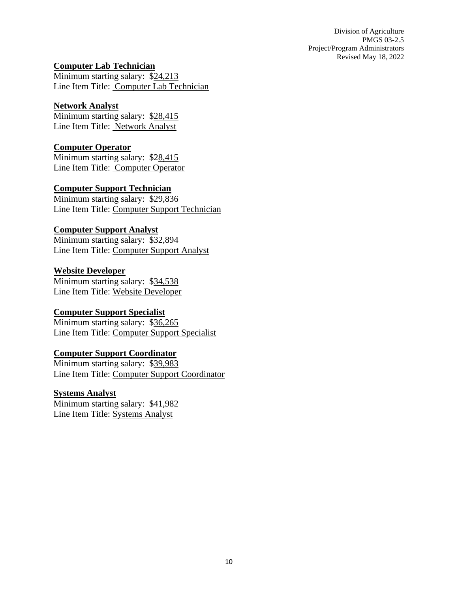**Computer Lab Technician**

Minimum starting salary: \$24,213 Line Item Title: Computer Lab Technician

#### **Network Analyst**

Minimum starting salary: \$28,415 Line Item Title: Network Analyst

#### **Computer Operator**

Minimum starting salary: \$28,415 Line Item Title: Computer Operator

#### **Computer Support Technician**

Minimum starting salary: \$29,836 Line Item Title: Computer Support Technician

#### **Computer Support Analyst**

Minimum starting salary: \$32,894 Line Item Title: Computer Support Analyst

#### **Website Developer**

Minimum starting salary: \$34,538 Line Item Title: Website Developer

#### **Computer Support Specialist**

Minimum starting salary: \$36,265 Line Item Title: Computer Support Specialist

#### **Computer Support Coordinator**

Minimum starting salary: \$39,983 Line Item Title: Computer Support Coordinator

#### **Systems Analyst**

Minimum starting salary: \$41,982 Line Item Title: Systems Analyst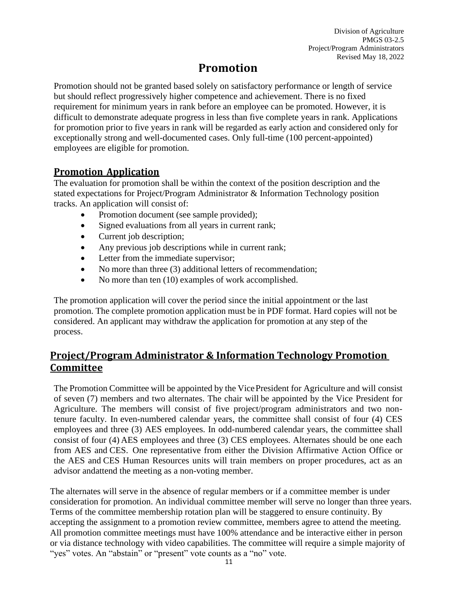# **Promotion**

Promotion should not be granted based solely on satisfactory performance or length of service but should reflect progressively higher competence and achievement. There is no fixed requirement for minimum years in rank before an employee can be promoted. However, it is difficult to demonstrate adequate progress in less than five complete years in rank. Applications for promotion prior to five years in rank will be regarded as early action and considered only for exceptionally strong and well-documented cases. Only full-time (100 percent-appointed) employees are eligible for promotion.

# **Promotion Application**

The evaluation for promotion shall be within the context of the position description and the stated expectations for Project/Program Administrator & Information Technology position tracks. An application will consist of:

- Promotion document (see sample provided);
- Signed evaluations from all years in current rank;
- Current job description;
- Any previous job descriptions while in current rank;
- Letter from the immediate supervisor;
- No more than three (3) additional letters of recommendation;
- No more than ten (10) examples of work accomplished.

The promotion application will cover the period since the initial appointment or the last promotion. The complete promotion application must be in PDF format. Hard copies will not be considered. An applicant may withdraw the application for promotion at any step of the process.

# **Project/Program Administrator & Information Technology Promotion Committee**

The Promotion Committee will be appointed by the Vice President for Agriculture and will consist of seven (7) members and two alternates. The chair will be appointed by the Vice President for Agriculture. The members will consist of five project/program administrators and two nontenure faculty. In even-numbered calendar years, the committee shall consist of four (4) CES employees and three (3) AES employees. In odd-numbered calendar years, the committee shall consist of four (4) AES employees and three (3) CES employees. Alternates should be one each from AES and CES. One representative from either the Division Affirmative Action Office or the AES and CES Human Resources units will train members on proper procedures, act as an advisor andattend the meeting as a non-voting member.

The alternates will serve in the absence of regular members or if a committee member is under consideration for promotion. An individual committee member will serve no longer than three years. Terms of the committee membership rotation plan will be staggered to ensure continuity. By accepting the assignment to a promotion review committee, members agree to attend the meeting. All promotion committee meetings must have 100% attendance and be interactive either in person or via distance technology with video capabilities. The committee will require a simple majority of "yes" votes. An "abstain" or "present" vote counts as a "no" vote.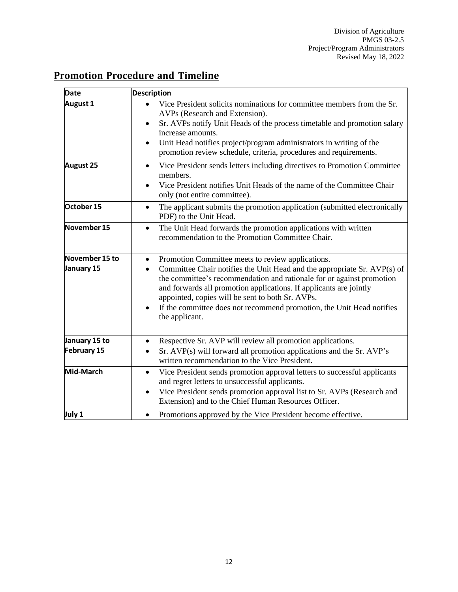# **Promotion Procedure and Timeline**

| <b>Date</b>                  | <b>Description</b>                                                                                                                                                                                                                                                                                                                                                                                                                                                 |
|------------------------------|--------------------------------------------------------------------------------------------------------------------------------------------------------------------------------------------------------------------------------------------------------------------------------------------------------------------------------------------------------------------------------------------------------------------------------------------------------------------|
| <b>August 1</b>              | Vice President solicits nominations for committee members from the Sr.<br>$\bullet$<br>AVPs (Research and Extension).<br>Sr. AVPs notify Unit Heads of the process timetable and promotion salary<br>٠<br>increase amounts.<br>Unit Head notifies project/program administrators in writing of the<br>٠<br>promotion review schedule, criteria, procedures and requirements.                                                                                       |
| <b>August 25</b>             | Vice President sends letters including directives to Promotion Committee<br>$\bullet$<br>members.<br>Vice President notifies Unit Heads of the name of the Committee Chair<br>only (not entire committee).                                                                                                                                                                                                                                                         |
| October 15                   | The applicant submits the promotion application (submitted electronically<br>$\bullet$<br>PDF) to the Unit Head.                                                                                                                                                                                                                                                                                                                                                   |
| November 15                  | The Unit Head forwards the promotion applications with written<br>$\bullet$<br>recommendation to the Promotion Committee Chair.                                                                                                                                                                                                                                                                                                                                    |
| November 15 to<br>January 15 | Promotion Committee meets to review applications.<br>$\bullet$<br>Committee Chair notifies the Unit Head and the appropriate Sr. AVP(s) of<br>$\bullet$<br>the committee's recommendation and rationale for or against promotion<br>and forwards all promotion applications. If applicants are jointly<br>appointed, copies will be sent to both Sr. AVPs.<br>If the committee does not recommend promotion, the Unit Head notifies<br>$\bullet$<br>the applicant. |
| January 15 to<br>February 15 | Respective Sr. AVP will review all promotion applications.<br>$\bullet$<br>Sr. AVP(s) will forward all promotion applications and the Sr. AVP's<br>٠<br>written recommendation to the Vice President.                                                                                                                                                                                                                                                              |
| Mid-March                    | Vice President sends promotion approval letters to successful applicants<br>$\bullet$<br>and regret letters to unsuccessful applicants.<br>Vice President sends promotion approval list to Sr. AVPs (Research and<br>$\bullet$<br>Extension) and to the Chief Human Resources Officer.                                                                                                                                                                             |
| July 1                       | Promotions approved by the Vice President become effective.<br>$\bullet$                                                                                                                                                                                                                                                                                                                                                                                           |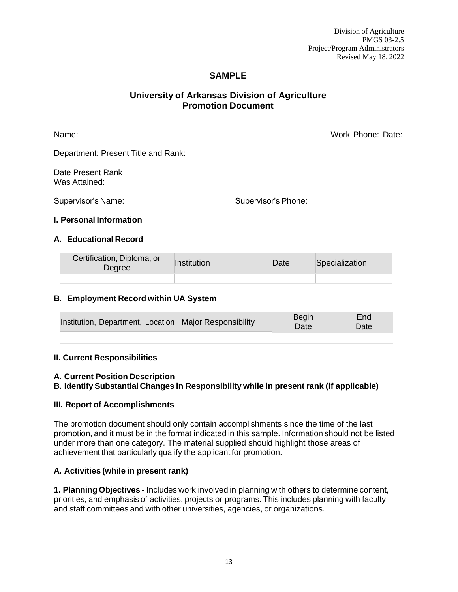#### **SAMPLE**

#### **University of Arkansas Division of Agriculture Promotion Document**

Name: Work Phone: Date:

Department: Present Title and Rank:

Date Present Rank Was Attained:

Supervisor's Name: Supervisor's Phone:

#### **I. Personal Information**

#### **A. Educational Record**

| Certification, Diploma, or<br>Degree | Institution | Date | Specialization |
|--------------------------------------|-------------|------|----------------|
|                                      |             |      |                |

#### **B. Employment Record within UA System**

| Institution, Department, Location Major Responsibility | Begin<br>Date | End<br>Date |
|--------------------------------------------------------|---------------|-------------|
|                                                        |               |             |

#### **II. Current Responsibilities**

#### **A. Current Position Description**

#### **B. Identify Substantial Changes in Responsibility while in present rank (if applicable)**

#### **III. Report of Accomplishments**

The promotion document should only contain accomplishments since the time of the last promotion, and it must be in the format indicated in this sample. Information should not be listed under more than one category. The material supplied should highlight those areas of achievement that particularly qualify the applicant for promotion.

#### **A. Activities (while in present rank)**

**1. Planning Objectives** - Includes work involved in planning with others to determine content, priorities, and emphasis of activities, projects or programs. This includes planning with faculty and staff committees and with other universities, agencies, or organizations.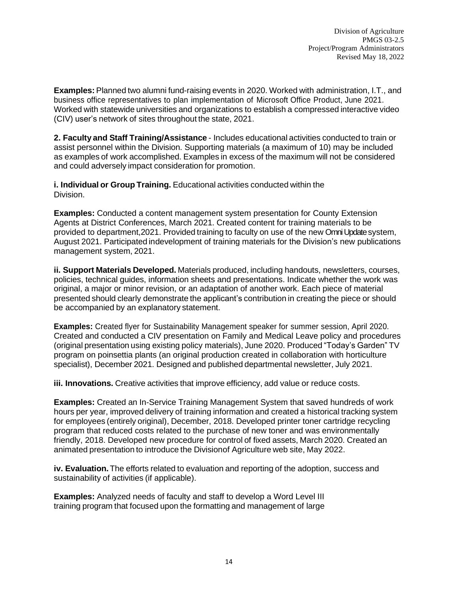**Examples:** Planned two alumni fund-raising events in 2020. Worked with administration, I.T., and business office representatives to plan implementation of Microsoft Office Product, June 2021. Worked with statewide universities and organizations to establish a compressed interactive video (CIV) user's network of sites throughout the state, 2021.

**2. Faculty and Staff Training/Assistance** - Includes educational activities conducted to train or assist personnel within the Division. Supporting materials (a maximum of 10) may be included as examples of work accomplished. Examples in excess of the maximum will not be considered and could adversely impact consideration for promotion.

**i. Individual or Group Training.** Educational activities conducted within the Division.

**Examples:** Conducted a content management system presentation for County Extension Agents at District Conferences, March 2021. Created content for training materials to be provided to department,2021. Provided training to faculty on use of the new Omni Update system, August 2021. Participated indevelopment of training materials for the Division's new publications management system, 2021.

**ii. Support Materials Developed.** Materials produced, including handouts, newsletters, courses, policies, technical guides, information sheets and presentations. Indicate whether the work was original, a major or minor revision, or an adaptation of another work. Each piece of material presented should clearly demonstrate the applicant's contribution in creating the piece or should be accompanied by an explanatory statement.

**Examples:** Created flyer for Sustainability Management speaker for summer session, April 2020. Created and conducted a CIV presentation on Family and Medical Leave policy and procedures (original presentation using existing policy materials), June 2020. Produced "Today's Garden" TV program on poinsettia plants (an original production created in collaboration with horticulture specialist), December 2021. Designed and published departmental newsletter, July 2021.

**iii. Innovations.** Creative activities that improve efficiency, add value or reduce costs.

**Examples:** Created an In-Service Training Management System that saved hundreds of work hours per year, improved delivery of training information and created a historical tracking system for employees (entirely original), December, 2018. Developed printer toner cartridge recycling program that reduced costs related to the purchase of new toner and was environmentally friendly, 2018. Developed new procedure for control of fixed assets, March 2020. Created an animated presentation to introduce the Divisionof Agriculture web site, May 2022.

**iv. Evaluation.** The efforts related to evaluation and reporting of the adoption, success and sustainability of activities (if applicable).

**Examples:** Analyzed needs of faculty and staff to develop a Word Level III training program that focused upon the formatting and management of large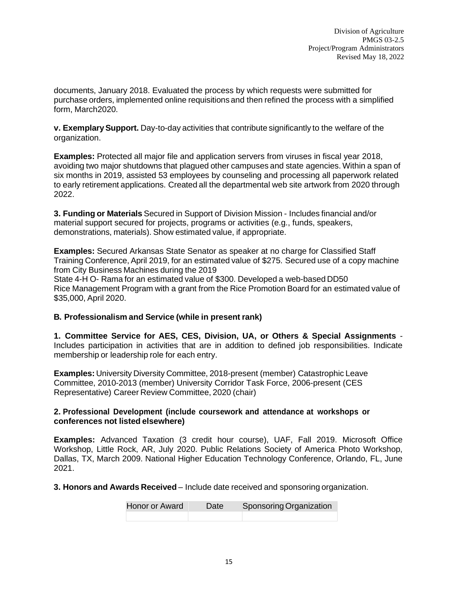documents, January 2018. Evaluated the process by which requests were submitted for purchase orders, implemented online requisitions and then refined the process with a simplified form, March2020.

**v. ExemplarySupport.** Day-to-day activities that contribute significantly to the welfare of the organization.

**Examples:** Protected all major file and application servers from viruses in fiscal year 2018, avoiding two major shutdowns that plagued other campuses and state agencies. Within a span of six months in 2019, assisted 53 employees by counseling and processing all paperwork related to early retirement applications. Created all the departmental web site artwork from 2020 through 2022.

**3. Funding or Materials** Secured in Support of Division Mission - Includes financial and/or material support secured for projects, programs or activities (e.g., funds, speakers, demonstrations, materials). Show estimated value, if appropriate.

**Examples:** Secured Arkansas State Senator as speaker at no charge for Classified Staff Training Conference, April 2019, for an estimated value of \$275. Secured use of a copy machine from City Business Machines during the 2019 State 4-H O- Rama for an estimated value of \$300. Developed a web-based DD50

Rice Management Program with a grant from the Rice Promotion Board for an estimated value of \$35,000, April 2020.

#### **B. Professionalism and Service (while in present rank)**

**1. Committee Service for AES, CES, Division, UA, or Others & Special Assignments** - Includes participation in activities that are in addition to defined job responsibilities. Indicate membership or leadership role for each entry.

**Examples:** University Diversity Committee, 2018-present (member) Catastrophic Leave Committee, 2010-2013 (member) University Corridor Task Force, 2006-present (CES Representative) Career Review Committee, 2020 (chair)

#### **2. Professional Development (include coursework and attendance at workshops or conferences not listed elsewhere)**

**Examples:** Advanced Taxation (3 credit hour course), UAF, Fall 2019. Microsoft Office Workshop, Little Rock, AR, July 2020. Public Relations Society of America Photo Workshop, Dallas, TX, March 2009. National Higher Education Technology Conference, Orlando, FL, June 2021.

**3. Honors and Awards Received** – Include date received and sponsoring organization.

| Honor or Award | Date | Sponsoring Organization |
|----------------|------|-------------------------|
|                |      |                         |